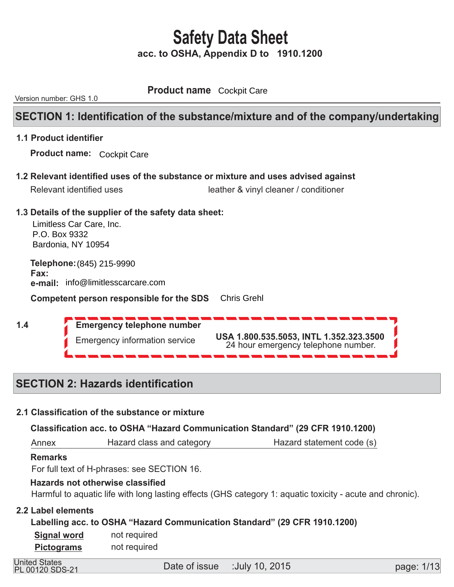**Product name** Cockpit Care

Version number: GHS 1.0

## **SECTION 1: Identification of the substance/mixture and of the company/undertaking**

#### **1.1 Product identifier**

 **Product name:**  Cockpit Care

 **1.2 Relevant identified uses of the substance or mixture and uses advised against** 

| Relevant identified uses | leather & vinyl cleaner / conditioner |
|--------------------------|---------------------------------------|

#### **1.3 Details of the supplier of the safety data sheet:**

Limitless Car Care, Inc. P.O. Box 9332 Bardonia, NY 10954

**Telephone: (845) 215-9990 Fax:**  $\overline{a}$ **e-mail:** info@limitlesscarcare.com

**Competent person responsible for the SDS** Chris Grehl

 **1.4** 

 **Emergency telephone number**  Emergency information service **USA 1.800.535.5053, INTL 1.352.323.3500** 24 hour emergency telephone number.

## **SECTION 2: Hazards identification**

#### **2.1 Classification of the substance or mixture**

 **Classification acc. to OSHA "Hazard Communication Standard" (29 CFR 1910.1200)** 

 Annex Hazard class and category **Hazard statement code (s)** 

#### **Remarks**

For full text of H-phrases: see SECTION 16.

#### **Hazards not otherwise classified**

Harmful to aquatic life with long lasting effects (GHS category 1: aquatic toxicity - acute and chronic).

#### **2.2 Label elements**

 **Labelling acc. to OSHA "Hazard Communication Standard" (29 CFR 1910.1200)** 

 not required not required  **Signal word Pictograms** 

PL 00120 SDS-21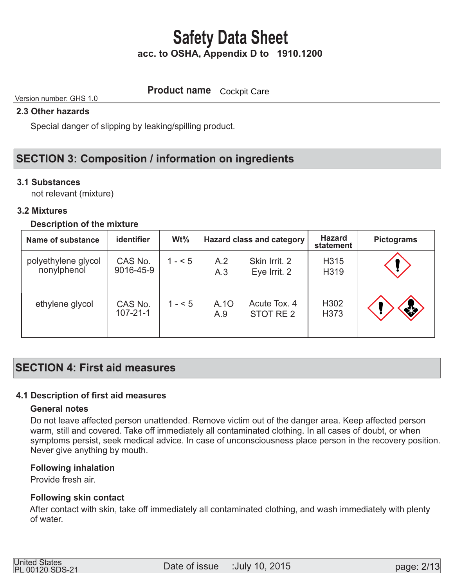**Product name Cockpit Care** 

#### Version number: GHS 1.0

#### **2.3 Other hazards**

Special danger of slipping by leaking/spilling product.

## **SECTION 3: Composition / information on ingredients**

#### **3.1 Substances**

not relevant (mixture)

#### **3.2 Mixtures**

#### **Description of the mixture**

| Name of substance                  | identifier                | $Wt\%$  |             | <b>Hazard class and category</b> | <b>Hazard</b><br>statement | <b>Pictograms</b> |
|------------------------------------|---------------------------|---------|-------------|----------------------------------|----------------------------|-------------------|
| polyethylene glycol<br>nonylphenol | CAS No.<br>9016-45-9      | $1 - 5$ | A.2<br>A.3  | Skin Irrit. 2<br>Eye Irrit. 2    | H315<br>H319               |                   |
| ethylene glycol                    | CAS No.<br>$107 - 21 - 1$ | $1 - 5$ | A.10<br>A.9 | Acute Tox, 4<br>STOT RE 2        | H <sub>302</sub><br>H373   | *                 |

### **SECTION 4: First aid measures**

#### **4.1 Description of first aid measures**

#### **General notes**

 Do not leave affected person unattended. Remove victim out of the danger area. Keep affected person warm, still and covered. Take off immediately all contaminated clothing. In all cases of doubt, or when symptoms persist, seek medical advice. In case of unconsciousness place person in the recovery position. Never give anything by mouth.

#### **Following inhalation**

Provide fresh air.

#### **Following skin contact**

 After contact with skin, take off immediately all contaminated clothing, and wash immediately with plenty of water.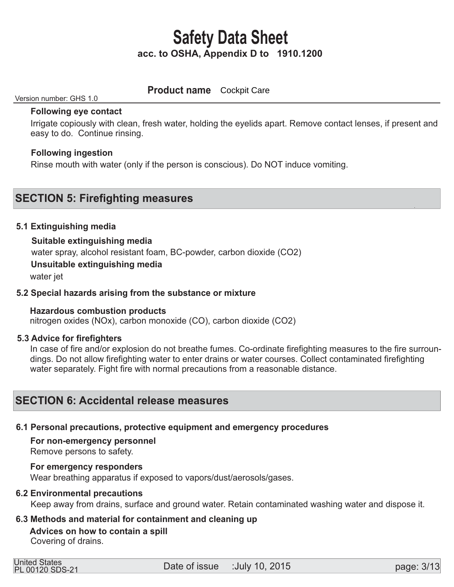### **Product name Cockpit Care**

#### Version number: GHS 1.0

#### **Following eye contact**

 Irrigate copiously with clean, fresh water, holding the eyelids apart. Remove contact lenses, if present and easy to do. Continue rinsing.

#### **Following ingestion**

Rinse mouth with water (only if the person is conscious). Do NOT induce vomiting.

### **SECTION 5: Firefighting measures**

#### **5.1 Extinguishing media**

#### **Suitable extinguishing media**

water spray, alcohol resistant foam, BC-powder, carbon dioxide (CO2)

#### **Unsuitable extinguishing media**

water jet

#### **5.2 Special hazards arising from the substance or mixture**

#### **Hazardous combustion products**

nitrogen oxides (NOx), carbon monoxide (CO), carbon dioxide (CO2)

#### **5.3 Advice for firefighters**

 In case of fire and/or explosion do not breathe fumes. Co-ordinate firefighting measures to the fire surroun dings. Do not allow firefighting water to enter drains or water courses. Collect contaminated firefighting water separately. Fight fire with normal precautions from a reasonable distance.

### **SECTION 6: Accidental release measures**

#### **6.1 Personal precautions, protective equipment and emergency procedures**

 **For non-emergency personnel** 

Remove persons to safety.

#### **For emergency responders**

Wear breathing apparatus if exposed to vapors/dust/aerosols/gases.

#### **6.2 Environmental precautions**

Keep away from drains, surface and ground water. Retain contaminated washing water and dispose it.

#### **6.3 Methods and material for containment and cleaning up**

### **Advices on how to contain a spill**

Covering of drains.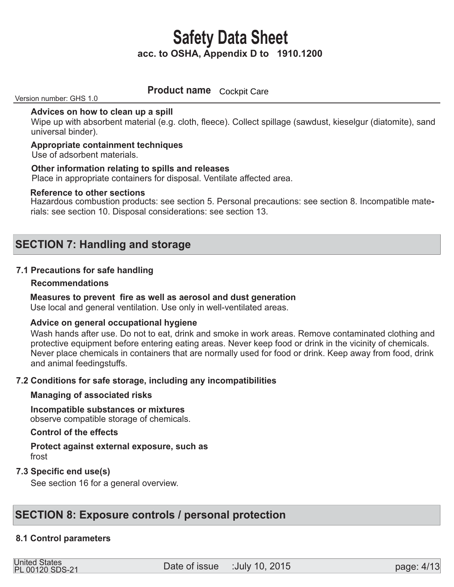## **Product name Cockpit Care**

Version number: GHS 1.0

#### **Advices on how to clean up a spill**

Wipe up with absorbent material (e.g. cloth, fleece). Collect spillage (sawdust, kieselgur (diatomite), sand universal binder).

#### **Appropriate containment techniques**

Use of adsorbent materials.

#### **Other information relating to spills and releases**

Place in appropriate containers for disposal. Ventilate affected area.

#### **Reference to other sections**

Hazardous combustion products: see section 5. Personal precautions: see section 8. Incompatible materials: see section 10. Disposal considerations: see section 13.

### **SECTION 7: Handling and storage**

#### **7.1 Precautions for safe handling**

#### **Recommendations**

#### **Measures to prevent fire as well as aerosol and dust generation**

Use local and general ventilation. Use only in well-ventilated areas.

#### **Advice on general occupational hygiene**

 Wash hands after use. Do not to eat, drink and smoke in work areas. Remove contaminated clothing and protective equipment before entering eating areas. Never keep food or drink in the vicinity of chemicals. Never place chemicals in containers that are normally used for food or drink. Keep away from food, drink and animal feedingstuffs.

#### **7.2 Conditions for safe storage, including any incompatibilities**

#### **Managing of associated risks**

#### **Incompatible substances or mixtures**  observe compatible storage of chemicals.

#### **Control of the effects**

#### **Protect against external exposure, such as**  frost

#### **7.3 Specific end use(s)**

See section 16 for a general overview.

### **SECTION 8: Exposure controls / personal protection**

#### **8.1 Control parameters**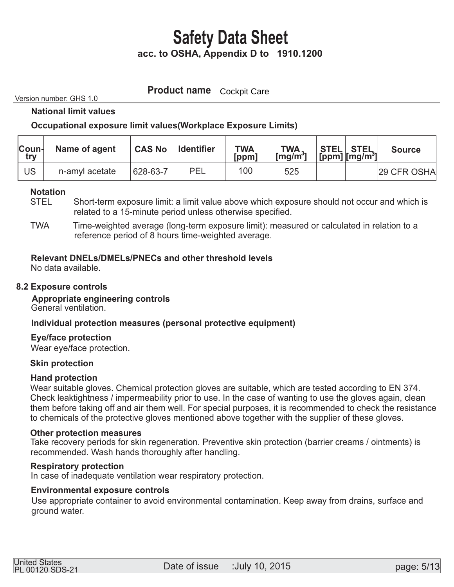**Product name Cockpit Care** 

Version number: GHS 1.0

 **National limit values** 

#### **Occupational exposure limit values(Workplace Exposure Limits)**

| <b>Coun-</b><br>try | Name of agent  | <b>CAS No</b> | <b>Identifier</b> | <b>TWA</b><br>[ppm] | $TWA$<br>[mg/m <sup>3</sup> ] | STEL   STEL<br> [ppm] [mg/m <sup>3</sup> ] | <b>Source</b> |
|---------------------|----------------|---------------|-------------------|---------------------|-------------------------------|--------------------------------------------|---------------|
| US                  | n-amyl acetate | 628-63-7      | PEL               | 100                 | 525                           |                                            | 29 CFR OSHA   |

#### **Notation**

- STEL Short-term exposure limit: a limit value above which exposure should not occur and which is related to a 15-minute period unless otherwise specified.
- TWA Time-weighted average (long-term exposure limit): measured or calculated in relation to a reference period of 8 hours time-weighted average.

#### **Relevant DNELs/DMELs/PNECs and other threshold levels**

No data available.

#### **8.2 Exposure controls**

 **Appropriate engineering controls**  General ventilation.

#### **Individual protection measures (personal protective equipment)**

#### **Eye/face protection**

Wear eye/face protection.

#### **Skin protection**

#### **Hand protection**

 Wear suitable gloves. Chemical protection gloves are suitable, which are tested according to EN 374. Check leaktightness / impermeability prior to use. In the case of wanting to use the gloves again, clean them before taking off and air them well. For special purposes, it is recommended to check the resistance to chemicals of the protective gloves mentioned above together with the supplier of these gloves.

#### **Other protection measures**

 Take recovery periods for skin regeneration. Preventive skin protection (barrier creams / ointments) is recommended. Wash hands thoroughly after handling.

#### **Respiratory protection**

In case of inadequate ventilation wear respiratory protection.

#### **Environmental exposure controls**

 Use appropriate container to avoid environmental contamination. Keep away from drains, surface and ground water.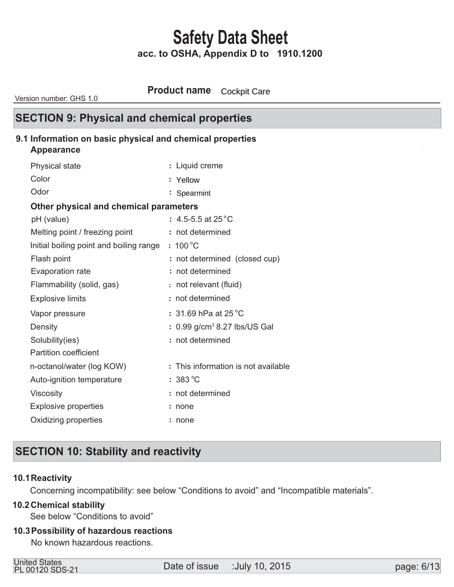**Product name** Cockpit Care

Version number: GHS 1.0

### **SECTION 9: Physical and chemical properties**

#### **9.1 Information on basic physical and chemical properties**

#### **Appearance**

| Physical state                          | : Liquid creme                             |
|-----------------------------------------|--------------------------------------------|
| Color                                   | : Yellow                                   |
| Odor                                    | : Spearmint                                |
| Other physical and chemical parameters  |                                            |
| pH (value)                              | : 4.5-5.5 at 25 $^{\circ}$ C               |
| Melting point / freezing point          | : not determined                           |
| Initial boiling point and boiling range | $: 100^{\circ}$ C                          |
| Flash point                             | : not determined (closed cup)              |
| Evaporation rate                        | : not determined                           |
| Flammability (solid, gas)               | : not relevant (fluid)                     |
| <b>Explosive limits</b>                 | : not determined                           |
| Vapor pressure                          | $: 31.69$ hPa at 25 $^{\circ}$ C           |
| Density                                 | $: 0.99$ g/cm <sup>3</sup> 8.27 lbs/US Gal |
| Solubility(ies)                         | : not determined                           |
| <b>Partition coefficient</b>            |                                            |
| n-octanol/water (log KOW)               | : This information is not available        |
| Auto-ignition temperature               | $:383^{\circ}$ C                           |
| <b>Viscosity</b>                        | : not determined                           |
| <b>Explosive properties</b>             | none                                       |
| Oxidizing properties                    | : none                                     |
|                                         |                                            |

## **SECTION 10: Stability and reactivity**

#### **10.1 Reactivity**

Concerning incompatibility: see below "Conditions to avoid" and "Incompatible materials".

#### **Chemical stability 10.2**

See below "Conditions to avoid"

#### **Possibility of hazardous reactions 10.3**

No known hazardous reactions.

| <b>United States</b>   |  |
|------------------------|--|
| <b>PL 00120 SDS-21</b> |  |

Date of issue :July 10, 2015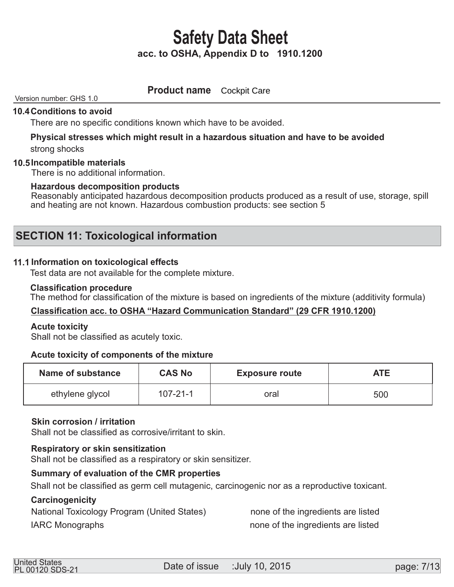**Product name** Cockpit Care

#### Version number: GHS 1.0

#### **10.4 Conditions to avoid**

There are no specific conditions known which have to be avoided.

# **Physical stresses which might result in a hazardous situation and have to be avoided**

strong shocks

#### **Incompatible materials 10.5**

There is no additional information.

#### **Hazardous decomposition products**

Reasonably anticipated hazardous decomposition products produced as a result of use, storage, spill and heating are not known. Hazardous combustion products: see section 5

### **SECTION 11: Toxicological information**

#### **11.1 Information on toxicological effects**

Test data are not available for the complete mixture.

#### **Classification procedure**

The method for classification of the mixture is based on ingredients of the mixture (additivity formula)

#### **Classification acc. to OSHA "Hazard Communication Standard" (29 CFR 1910.1200)**

#### **Acute toxicity**

Shall not be classified as acutely toxic.

#### **Acute toxicity of components of the mixture**

| Name of substance | <b>CAS No</b>  | <b>Exposure route</b> | <b>ATE</b> |
|-------------------|----------------|-----------------------|------------|
| ethylene glycol   | $107 - 21 - 1$ | oral                  | 500        |

#### **Skin corrosion / irritation**

Shall not be classified as corrosive/irritant to skin.

#### **Respiratory or skin sensitization**

Shall not be classified as a respiratory or skin sensitizer.

#### **Summary of evaluation of the CMR properties**

Shall not be classified as germ cell mutagenic, carcinogenic nor as a reproductive toxicant.

#### **Carcinogenicity**

National Toxicology Program (United States) hone of the ingredients are listed

IARC Monographs **IARC** Monographs **none** of the ingredients are listed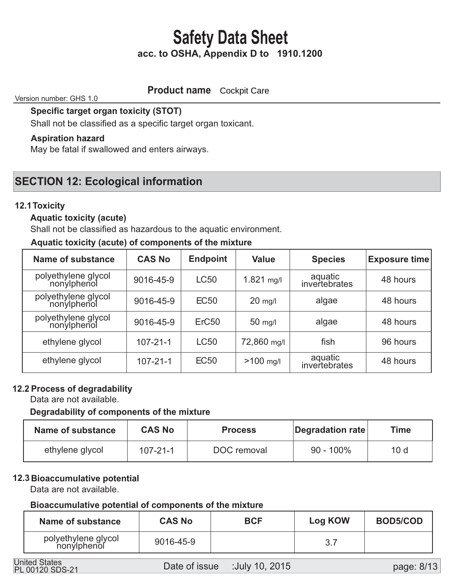### **Product name Cockpit Care**

Version number: GHS 1.0

 **Specific target organ toxicity (STOT)** 

Shall not be classified as a specific target organ toxicant.

#### **Aspiration hazard**

May be fatal if swallowed and enters airways.

## **SECTION 12: Ecological information**

#### **12.1 Toxicity**

#### **Aquatic toxicity (acute)**

Shall not be classified as hazardous to the aquatic environment.

#### **Aquatic toxicity (acute) of components of the mixture**

| <b>Name of substance</b>           | <b>CAS No</b>  | <b>Endpoint</b>   | <b>Value</b> | <b>Species</b>           | <b>Exposure time</b> |
|------------------------------------|----------------|-------------------|--------------|--------------------------|----------------------|
| polyethylene glycol<br>nonylphenol | 9016-45-9      | <b>LC50</b>       | $1.821$ mg/l | aquatic<br>invertebrates | 48 hours             |
| polyethylene glycol<br>nonylphenol | 9016-45-9      | <b>EC50</b>       | $20$ mg/l    | algae                    | 48 hours             |
| polyethylene glycol<br>nonylphenol | 9016-45-9      | ErC <sub>50</sub> | $50$ mg/l    | algae                    | 48 hours             |
| ethylene glycol                    | $107 - 21 - 1$ | <b>LC50</b>       | 72,860 mg/l  | fish                     | 96 hours             |
| ethylene glycol                    | $107 - 21 - 1$ | <b>EC50</b>       | $>100$ mg/l  | aquatic<br>invertebrates | 48 hours             |

#### **12.2 Process of degradability**

Data are not available.

#### **Degradability of components of the mixture**

| Name of substance | <b>CAS No</b>  | <b>Process</b> | Degradation rate | <b>Time</b>     |
|-------------------|----------------|----------------|------------------|-----------------|
| ethylene glycol   | $107 - 21 - 1$ | DOC removal    | $90 - 100\%$     | 10 <sub>d</sub> |

#### **12.3 Bioaccumulative potential**

Data are not available.

#### **Bioaccumulative potential of components of the mixture**

| Name of substance                  | <b>CAS No</b> | <b>BCF</b> | <b>Log KOW</b> | <b>BOD5/COD</b> |
|------------------------------------|---------------|------------|----------------|-----------------|
| polyethylene glycol<br>nonylphenol | 9016-45-9     |            |                |                 |

PL 00120 SDS-21

page: 8/13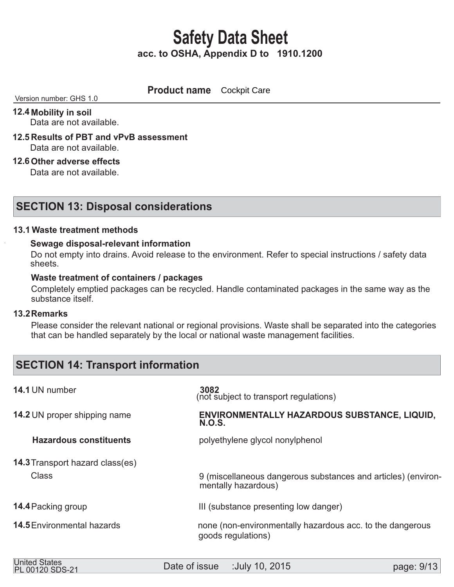**Product name Cockpit Care** 

Version number: GHS 1.0

### **12.4 Mobility in soil**

Data are not available.

- **12.5 Results of PBT and vPvB assessment**  Data are not available.
- **12.6 Other adverse effects**

Data are not available.

### **SECTION 13: Disposal considerations**

#### **Waste treatment methods 13.1**

#### **Sewage disposal-relevant information**

 Do not empty into drains. Avoid release to the environment. Refer to special instructions / safety data sheets.

#### **Waste treatment of containers / packages**

 Completely emptied packages can be recycled. Handle contaminated packages in the same way as the substance itself.

#### **Remarks 13.2**

 Please consider the relevant national or regional provisions. Waste shall be separated into the categories that can be handled separately by the local or national waste management facilities.

## **SECTION 14: Transport information**

| 14.1 UN number                         | 3082<br>(not subject to transport regulations)                                       |
|----------------------------------------|--------------------------------------------------------------------------------------|
| <b>14.2 UN proper shipping name</b>    | ENVIRONMENTALLY HAZARDOUS SUBSTANCE, LIQUID,<br><b>N.O.S.</b>                        |
| <b>Hazardous constituents</b>          | polyethylene glycol nonylphenol                                                      |
| <b>14.3 Transport hazard class(es)</b> |                                                                                      |
| <b>Class</b>                           | 9 (miscellaneous dangerous substances and articles) (environ-<br>mentally hazardous) |
| 14.4 Packing group                     | III (substance presenting low danger)                                                |
| <b>14.5</b> Environmental hazards      | none (non-environmentally hazardous acc. to the dangerous<br>goods regulations)      |
|                                        |                                                                                      |

| <b>United States</b><br>PL 00120 SDS-21 | Date of issue | :July 10, 2015 | page: 9/13 |
|-----------------------------------------|---------------|----------------|------------|
|                                         |               |                |            |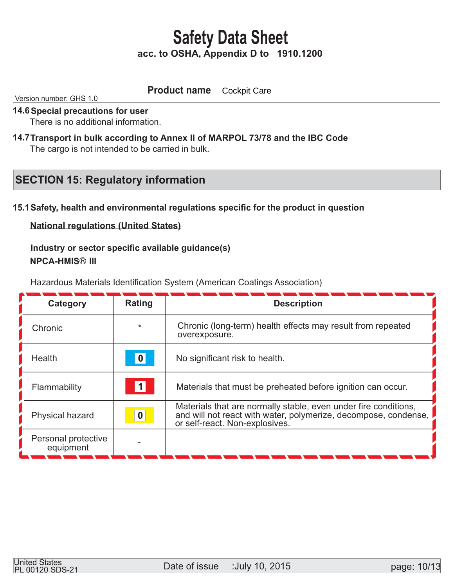#### **Product name** Cockpit Care

Version number: GHS 1.0

#### **14.6 Special precautions for user**

There is no additional information.

14.7 Transport in bulk according to Annex II of MARPOL 73/78 and the IBC Code The cargo is not intended to be carried in bulk.

## **SECTION 15: Regulatory information**

#### **15.1 Safety, health and environmental regulations specific for the product in question**

**National regulations (United States)**

 **Industry or sector specific available guidance(s) NPCA-HMIS® III** 

Hazardous Materials Identification System (American Coatings Association)

| Category                         | <b>Rating</b>    | <b>Description</b>                                                                                                                                                   |
|----------------------------------|------------------|----------------------------------------------------------------------------------------------------------------------------------------------------------------------|
| Chronic                          | $\star$          | Chronic (long-term) health effects may result from repeated<br>overexposure.                                                                                         |
| Health                           | 0                | No significant risk to health.                                                                                                                                       |
| Flammability                     | $\vert$ 1        | Materials that must be preheated before ignition can occur.                                                                                                          |
| Physical hazard                  | $\boldsymbol{0}$ | Materials that are normally stable, even under fire conditions,<br>and will not react with water, polymerize, decompose, condense,<br>or self-react. Non-explosives. |
| Personal protective<br>equipment |                  |                                                                                                                                                                      |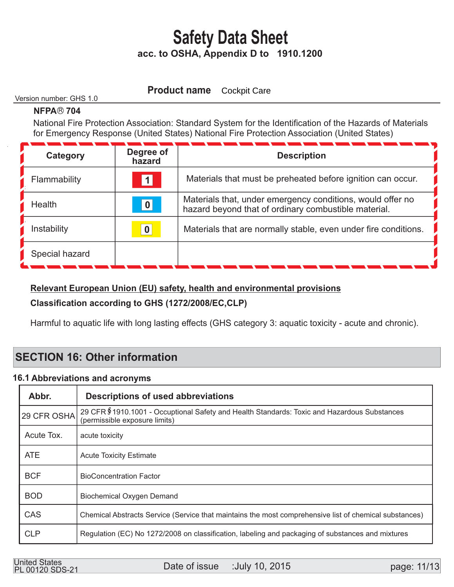**Product name** Cockpit Care

#### Version number: GHS 1.0

#### **NFPA® 704**

 National Fire Protection Association: Standard System for the Identification of the Hazards of Materials for Emergency Response (United States) National Fire Protection Association (United States)

| Category       | Degree of<br>hazard | <b>Description</b>                                                                                                 |
|----------------|---------------------|--------------------------------------------------------------------------------------------------------------------|
| Flammability   | 1                   | Materials that must be preheated before ignition can occur.                                                        |
| <b>Health</b>  | 0                   | Materials that, under emergency conditions, would offer no<br>hazard beyond that of ordinary combustible material. |
| Instability    | $\boldsymbol{0}$    | Materials that are normally stable, even under fire conditions.                                                    |
| Special hazard |                     |                                                                                                                    |

#### **Relevant European Union (EU) safety, health and environmental provisions**

### **Classification according to GHS (1272/2008/EC,CLP)**

Harmful to aquatic life with long lasting effects (GHS category 3: aquatic toxicity - acute and chronic).

## **SECTION 16: Other information**

#### **16.1 Abbreviations and acronyms**

| Abbr.       | <b>Descriptions of used abbreviations</b>                                                                                     |  |
|-------------|-------------------------------------------------------------------------------------------------------------------------------|--|
| 29 CFR OSHA | 29 CFR \$1910.1001 - Occuptional Safety and Health Standards: Toxic and Hazardous Substances<br>(permissible exposure limits) |  |
| Acute Tox.  | acute toxicity                                                                                                                |  |
| <b>ATE</b>  | <b>Acute Toxicity Estimate</b>                                                                                                |  |
| <b>BCF</b>  | <b>BioConcentration Factor</b>                                                                                                |  |
| <b>BOD</b>  | <b>Biochemical Oxygen Demand</b>                                                                                              |  |
| CAS         | Chemical Abstracts Service (Service that maintains the most comprehensive list of chemical substances)                        |  |
| <b>CLP</b>  | Regulation (EC) No 1272/2008 on classification, labeling and packaging of substances and mixtures                             |  |

United States<br>
Date of issue :July 10, 2015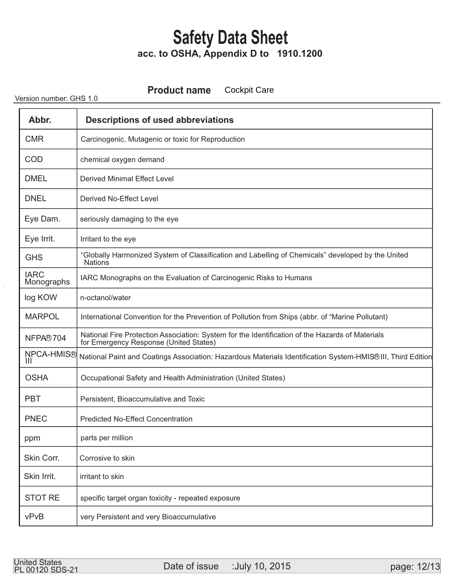**Product name** Cockpit Care

Version number: GHS 1.0

| Abbr.                     | <b>Descriptions of used abbreviations</b>                                                                                                 |  |
|---------------------------|-------------------------------------------------------------------------------------------------------------------------------------------|--|
| <b>CMR</b>                | Carcinogenic, Mutagenic or toxic for Reproduction                                                                                         |  |
| <b>COD</b>                | chemical oxygen demand                                                                                                                    |  |
| <b>DMEL</b>               | <b>Derived Minimal Effect Level</b>                                                                                                       |  |
| <b>DNEL</b>               | Derived No-Effect Level                                                                                                                   |  |
| Eye Dam.                  | seriously damaging to the eye                                                                                                             |  |
| Eye Irrit.                | Irritant to the eye                                                                                                                       |  |
| <b>GHS</b>                | "Globally Harmonized System of Classification and Labelling of Chemicals" developed by the United<br><b>Nations</b>                       |  |
| <b>IARC</b><br>Monographs | IARC Monographs on the Evaluation of Carcinogenic Risks to Humans                                                                         |  |
| log KOW                   | n-octanol/water                                                                                                                           |  |
| <b>MARPOL</b>             | International Convention for the Prevention of Pollution from Ships (abbr. of "Marine Pollutant)                                          |  |
| NFPA®704                  | National Fire Protection Association: System for the Identification of the Hazards of Materials<br>for Emergency Response (United States) |  |
| NPCA-HMIS®                | National Paint and Coatings Association: Hazardous Materials Identification System-HMIS® III, Third Edition                               |  |
| <b>OSHA</b>               | Occupational Safety and Health Administration (United States)                                                                             |  |
| <b>PBT</b>                | Persistent, Bioaccumulative and Toxic                                                                                                     |  |
| <b>PNEC</b>               | <b>Predicted No-Effect Concentration</b>                                                                                                  |  |
| ppm                       | parts per million                                                                                                                         |  |
| Skin Corr.                | Corrosive to skin                                                                                                                         |  |
| Skin Irrit.               | irritant to skin                                                                                                                          |  |
| <b>STOT RE</b>            | specific target organ toxicity - repeated exposure                                                                                        |  |
| vPvB                      | very Persistent and very Bioaccumulative                                                                                                  |  |